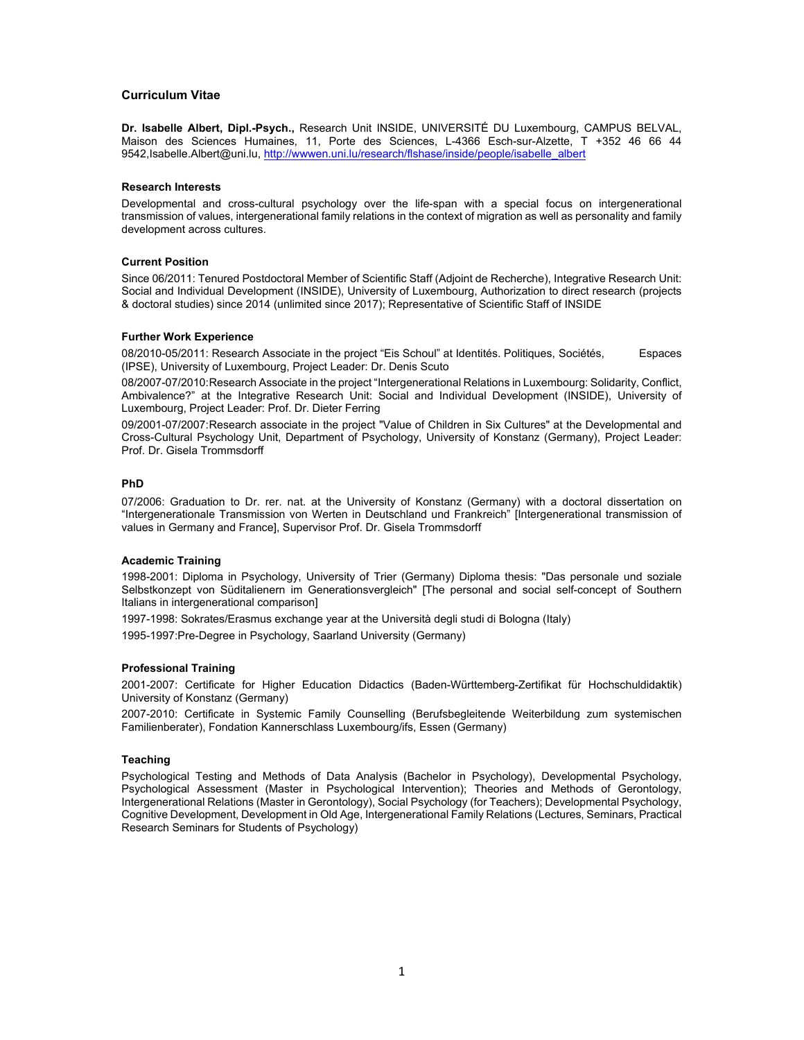# **Curriculum Vitae**

**Dr. Isabelle Albert, Dipl.-Psych.,** Research Unit INSIDE, UNIVERSITÉ DU Luxembourg, CAMPUS BELVAL, Maison des Sciences Humaines, 11, Porte des Sciences, L-4366 Esch-sur-Alzette, T +352 46 66 44 9542, Isabelle. Albert@uni.lu, http://wwwen.uni.lu/research/flshase/inside/people/isabelle\_albert

### **Research Interests**

Developmental and cross-cultural psychology over the life-span with a special focus on intergenerational transmission of values, intergenerational family relations in the context of migration as well as personality and family development across cultures.

## **Current Position**

Since 06/2011: Tenured Postdoctoral Member of Scientific Staff (Adjoint de Recherche), Integrative Research Unit: Social and Individual Development (INSIDE), University of Luxembourg, Authorization to direct research (projects & doctoral studies) since 2014 (unlimited since 2017); Representative of Scientific Staff of INSIDE

### **Further Work Experience**

08/2010-05/2011: Research Associate in the project "Eis Schoul" at Identités. Politiques, Sociétés, Espaces (IPSE), University of Luxembourg, Project Leader: Dr. Denis Scuto

08/2007-07/2010: Research Associate in the project "Intergenerational Relations in Luxembourg: Solidarity, Conflict, Ambivalence?" at the Integrative Research Unit: Social and Individual Development (INSIDE), University of Luxembourg, Project Leader: Prof. Dr. Dieter Ferring

09/2001-07/2007: Research associate in the project "Value of Children in Six Cultures" at the Developmental and Cross-Cultural Psychology Unit, Department of Psychology, University of Konstanz (Germany), Project Leader: Prof. Dr. Gisela Trommsdorff

# **PhD**

07/2006: Graduation to Dr. rer. nat. at the University of Konstanz (Germany) with a doctoral dissertation on "Intergenerationale Transmission von Werten in Deutschland und Frankreich" [Intergenerational transmission of values in Germany and France], Supervisor Prof. Dr. Gisela Trommsdorff

## **Academic Training**

1998-2001: Diploma in Psychology, University of Trier (Germany) Diploma thesis: "Das personale und soziale Selbstkonzept von Süditalienern im Generationsvergleich" [The personal and social self-concept of Southern Italians in intergenerational comparison]

1997-1998: Sokrates/Erasmus exchange year at the Università degli studi di Bologna (Italy)

1995-1997:Pre-Degree in Psychology, Saarland University (Germany)

## **Professional Training**

2001-2007: Certificate for Higher Education Didactics (Baden-Württemberg-Zertifikat für Hochschuldidaktik) University of Konstanz (Germany)

2007-2010: Certificate in Systemic Family Counselling (Berufsbegleitende Weiterbildung zum systemischen Familienberater), Fondation Kannerschlass Luxembourg/ifs, Essen (Germany)

# **Teaching**

Psychological Testing and Methods of Data Analysis (Bachelor in Psychology), Developmental Psychology, Psychological Assessment (Master in Psychological Intervention); Theories and Methods of Gerontology, Intergenerational Relations (Master in Gerontology), Social Psychology (for Teachers); Developmental Psychology, Cognitive Development, Development in Old Age, Intergenerational Family Relations (Lectures, Seminars, Practical Research Seminars for Students of Psychology)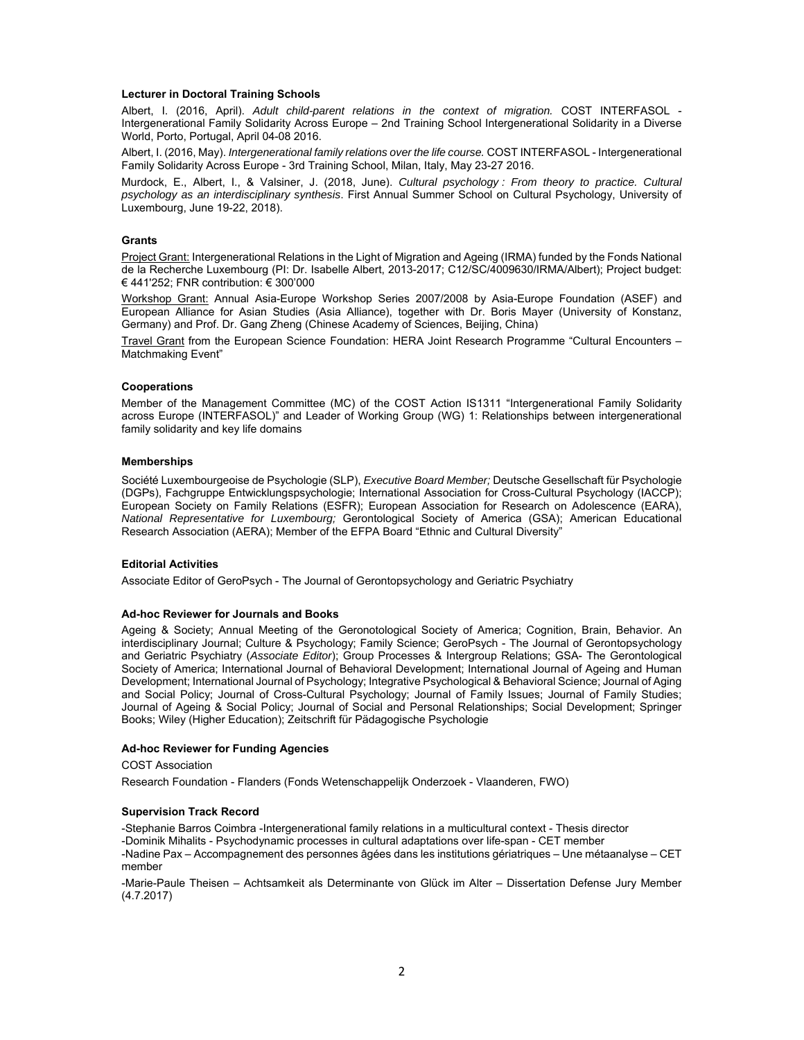## **Lecturer in Doctoral Training Schools**

Albert, I. (2016, April). *Adult child-parent relations in the context of migration.* COST INTERFASOL - Intergenerational Family Solidarity Across Europe – 2nd Training School Intergenerational Solidarity in a Diverse World, Porto, Portugal, April 04-08 2016.

Albert, I. (2016, May). *Intergenerational family relations over the life course.* COST INTERFASOL - Intergenerational Family Solidarity Across Europe - 3rd Training School, Milan, Italy, May 23-27 2016.

Murdock, E., Albert, I., & Valsiner, J. (2018, June). *Cultural psychology : From theory to practice. Cultural psychology as an interdisciplinary synthesis*. First Annual Summer School on Cultural Psychology, University of Luxembourg, June 19-22, 2018).

## **Grants**

Project Grant: Intergenerational Relations in the Light of Migration and Ageing (IRMA) funded by the Fonds National de la Recherche Luxembourg (PI: Dr. Isabelle Albert, 2013-2017; C12/SC/4009630/IRMA/Albert); Project budget: € 441'252; FNR contribution: € 300'000

Workshop Grant: Annual Asia-Europe Workshop Series 2007/2008 by Asia-Europe Foundation (ASEF) and European Alliance for Asian Studies (Asia Alliance), together with Dr. Boris Mayer (University of Konstanz, Germany) and Prof. Dr. Gang Zheng (Chinese Academy of Sciences, Beijing, China)

Travel Grant from the European Science Foundation: HERA Joint Research Programme "Cultural Encounters – Matchmaking Event"

#### **Cooperations**

Member of the Management Committee (MC) of the COST Action IS1311 "Intergenerational Family Solidarity across Europe (INTERFASOL)" and Leader of Working Group (WG) 1: Relationships between intergenerational family solidarity and key life domains

### **Memberships**

Société Luxembourgeoise de Psychologie (SLP), *Executive Board Member;* Deutsche Gesellschaft für Psychologie (DGPs), Fachgruppe Entwicklungspsychologie; International Association for Cross-Cultural Psychology (IACCP); European Society on Family Relations (ESFR); European Association for Research on Adolescence (EARA), *National Representative for Luxembourg;* Gerontological Society of America (GSA); American Educational Research Association (AERA); Member of the EFPA Board "Ethnic and Cultural Diversity"

### **Editorial Activities**

Associate Editor of GeroPsych - The Journal of Gerontopsychology and Geriatric Psychiatry

#### **Ad-hoc Reviewer for Journals and Books**

Ageing & Society; Annual Meeting of the Geronotological Society of America; Cognition, Brain, Behavior. An interdisciplinary Journal; Culture & Psychology; Family Science; GeroPsych - The Journal of Gerontopsychology and Geriatric Psychiatry (*Associate Editor*); Group Processes & Intergroup Relations; GSA- The Gerontological Society of America; International Journal of Behavioral Development; International Journal of Ageing and Human Development; International Journal of Psychology; Integrative Psychological & Behavioral Science; Journal of Aging and Social Policy; Journal of Cross-Cultural Psychology; Journal of Family Issues; Journal of Family Studies; Journal of Ageing & Social Policy; Journal of Social and Personal Relationships; Social Development; Springer Books; Wiley (Higher Education); Zeitschrift für Pädagogische Psychologie

#### **Ad-hoc Reviewer for Funding Agencies**

COST Association

Research Foundation - Flanders (Fonds Wetenschappelijk Onderzoek - Vlaanderen, FWO)

#### **Supervision Track Record**

-Stephanie Barros Coimbra -Intergenerational family relations in a multicultural context - Thesis director -Dominik Mihalits - Psychodynamic processes in cultural adaptations over life-span - CET member -Nadine Pax – Accompagnement des personnes âgées dans les institutions gériatriques – Une métaanalyse – CET member

-Marie-Paule Theisen – Achtsamkeit als Determinante von Glück im Alter – Dissertation Defense Jury Member (4.7.2017)